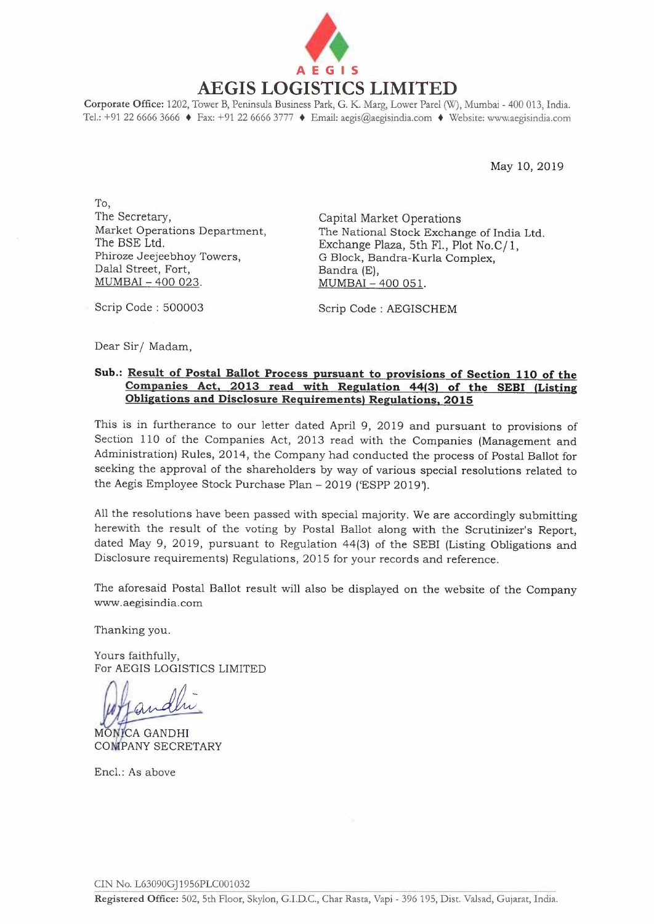

**Corporate Office:** 1202, Tower B, Peninsula Business Park, G. K. Marg, Lower Pare! (W), Mumbai - 400 013, India. Tel.: +91 22 6666 3666 + Fax: +91 22 6666 3777 + Email: aegis@aegisindia.com + Website: www.aegisindia.com

May 10, 2019

To, The Secretary, Market Operations Department, The BSE Ltd. Phiroze Jeejeebhoy Towers, Dalal Street, Fort, MUMBAI - 400 023.

Capital Market Operations The National Stock Exchange of India Ltd. Exchange Plaza, 5th Fl., Plot *No.C*/1, G Block, Bandra-Kurla Complex, Bandra (E), MUMBAI - 400 051.

Scrip Code : 500003

Scrip Code : AEGISCHEM

Dear Sir/ Madam,

## **Sub.: Result of Postal Ballot Process pursuant to provisions of Section 110 of the Companies Act, 2013 read with Regulation 44(3) of the SEBI (Listing Obligations and Disclosure Requirements) Regulations, 2015**

This is in furtherance to our letter dated April 9, 2019 and pursuant to provisions of Section 110 of the Companies Act, 2013 read with the Companies (Management and Administration) Rules, 2014, the Company had conducted the process of Postal Ballot for seeking the approval of the shareholders by way of various special resolutions related to the Aegis Employee Stock Purchase Plan - 2019 ('ESPP 2019').

All the resolutions have been passed with special majority. We are accordingly submitting herewith the result of the voting by Postal Ballot along with the Scrutinizer's Report, dated May 9, 2019, pursuant to Regulation 44(3) of the SEBI (Listing Obligations and Disclosure requirements) Regulations, 2015 for your records and reference.

The aforesaid Postal Ballot result will also be displayed on the website of the Company www.aegisindia.com

Thanking you.

Yours faithfully, For AEGIS LOGISTICS LIMITED

MONICA GANDHI **COMPANY SECRETARY** 

Encl.: As above

CIN No. L63090GJ1956PLC001032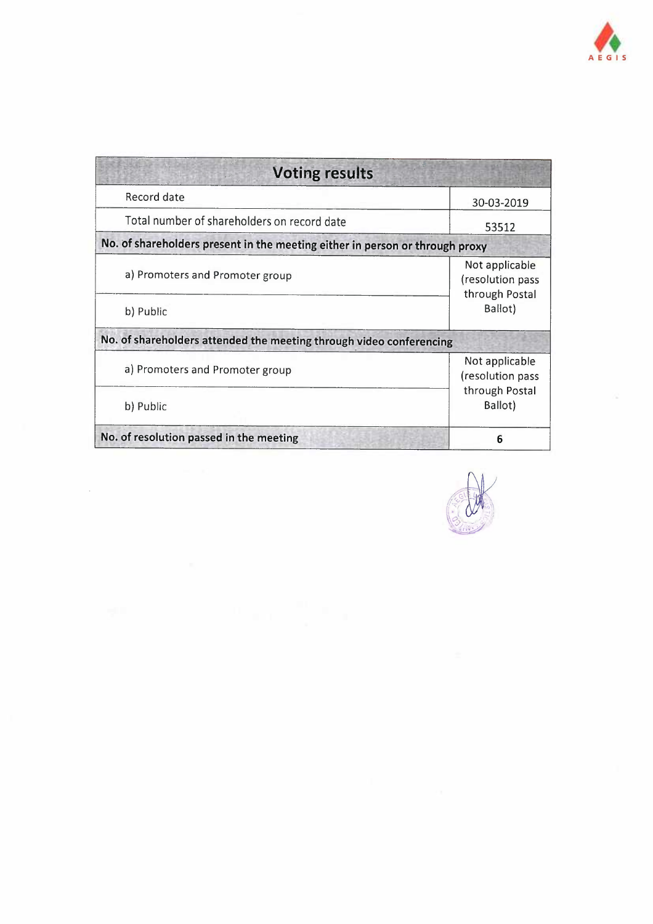

| <b>Voting results</b>                                                        |                                                      |
|------------------------------------------------------------------------------|------------------------------------------------------|
| Record date                                                                  | 30-03-2019                                           |
| Total number of shareholders on record date                                  | 53512                                                |
| No. of shareholders present in the meeting either in person or through proxy |                                                      |
| a) Promoters and Promoter group                                              | Not applicable<br>(resolution pass<br>through Postal |
| b) Public                                                                    | Ballot)                                              |
| No. of shareholders attended the meeting through video conferencing          |                                                      |
| a) Promoters and Promoter group                                              | Not applicable<br>(resolution pass                   |
| b) Public                                                                    | through Postal<br>Ballot)                            |
| No. of resolution passed in the meeting                                      | 6                                                    |

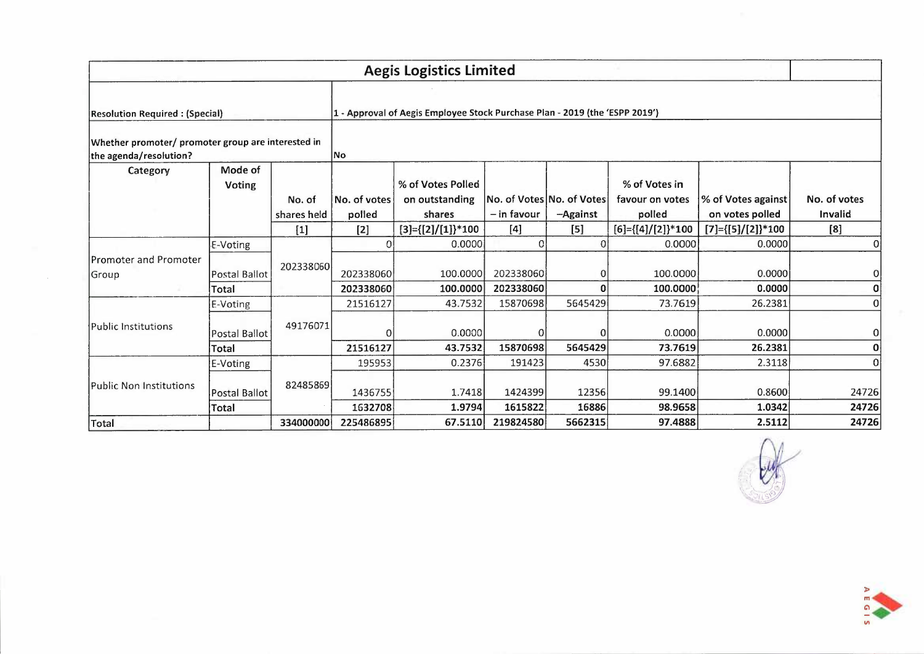|                                                                              |                      |                       |                        | <b>Aegis Logistics Limited</b>                                              |             |                                       |                               |                                       |                         |
|------------------------------------------------------------------------------|----------------------|-----------------------|------------------------|-----------------------------------------------------------------------------|-------------|---------------------------------------|-------------------------------|---------------------------------------|-------------------------|
|                                                                              |                      |                       |                        |                                                                             |             |                                       |                               |                                       |                         |
| <b>Resolution Required: (Special)</b>                                        |                      |                       |                        | 1 - Approval of Aegis Employee Stock Purchase Plan - 2019 (the 'ESPP 2019') |             |                                       |                               |                                       |                         |
| Whether promoter/ promoter group are interested in<br>the agenda/resolution? |                      |                       | No                     |                                                                             |             |                                       |                               |                                       |                         |
| Category                                                                     | Mode of<br>Voting    |                       |                        | % of Votes Polled                                                           |             |                                       | % of Votes in                 |                                       |                         |
|                                                                              |                      | No. of<br>shares held | No. of votes<br>polled | on outstanding<br>shares                                                    | - in favour | No. of Votes No. of Votes<br>-Against | favour on votes<br>polled     | % of Votes against<br>on votes polled | No. of votes<br>Invalid |
|                                                                              |                      | $[1]$                 | $[2]$                  | $[3] = \{ [2] / [1] \}$ *100                                                | $[4]$       | $[5]$                                 | $[6] = \{ [4] / [2] \} * 100$ | $[7] = \{ [5] / [2] \} * 100$         | [8]                     |
|                                                                              | E-Voting             |                       |                        | 0.0000                                                                      | 0           |                                       | 0.0000                        | 0.0000                                | 0                       |
| <b>Promoter and Promoter</b><br>Group                                        | <b>Postal Ballot</b> | 202338060             | 202338060              | 100.0000                                                                    | 202338060   |                                       | 100.0000                      | 0.0000                                | $\Omega$                |
|                                                                              | Total                |                       | 202338060              | 100.0000                                                                    | 202338060   |                                       | 100.0000                      | 0.0000                                | $\Omega$                |
|                                                                              | E-Voting             |                       | 21516127               | 43.7532                                                                     | 15870698    | 5645429                               | 73.7619                       | 26.2381                               | $\Omega$                |
| Public Institutions                                                          | Postal Ballot        | 49176071              | 0                      | 0.0000                                                                      | O           |                                       | 0.0000                        | 0.0000                                | 0                       |
|                                                                              | Total                |                       | 21516127               | 43.7532                                                                     | 15870698    | 5645429                               | 73.7619                       | 26.2381                               | ٥                       |
|                                                                              | E-Voting             |                       | 195953                 | 0.2376                                                                      | 191423      | 4530                                  | 97.6882                       | 2.3118                                | Ωİ                      |
| Public Non Institutions                                                      | <b>Postal Ballot</b> | 82485869              | 1436755                | 1.7418                                                                      | 1424399     | 12356                                 | 99.1400                       | 0.8600                                | 24726                   |
|                                                                              | Total                |                       | 1632708                | 1.9794                                                                      | 1615822     | 16886                                 | 98.9658                       | 1.0342                                | 24726                   |
| Total                                                                        |                      | 334000000             | 225486895              | 67.5110                                                                     | 219824580   | 5662315                               | 97.4888                       | 2.5112                                | 24726                   |

 $\sim$   $\sim$ 



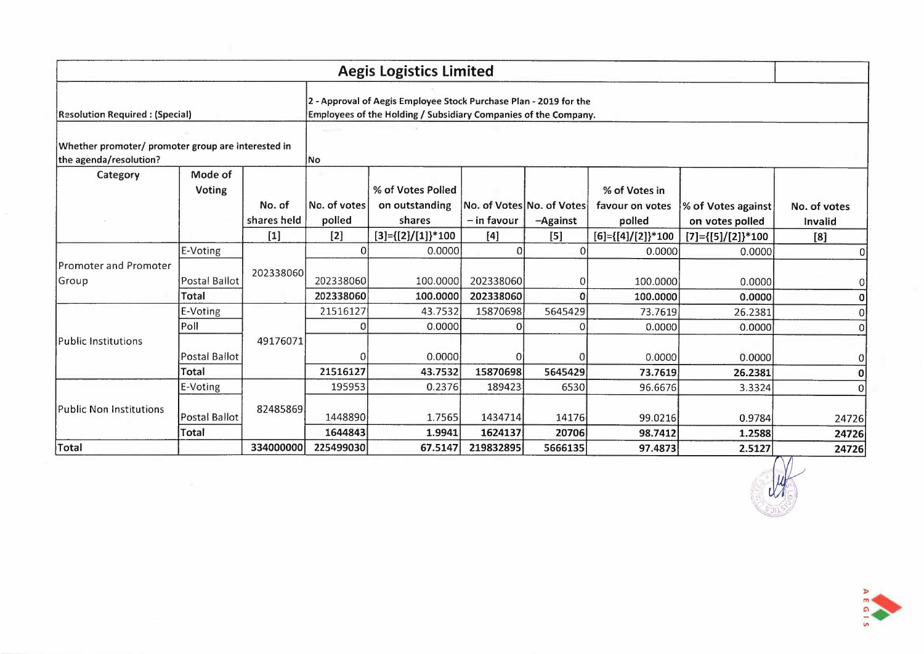|                                                                              |                          |             |              | <b>Aegis Logistics Limited</b>                                                                                                       |                           |              |                                  |                               |              |
|------------------------------------------------------------------------------|--------------------------|-------------|--------------|--------------------------------------------------------------------------------------------------------------------------------------|---------------------------|--------------|----------------------------------|-------------------------------|--------------|
| <b>Resolution Required: (Special)</b>                                        |                          |             |              | 2 - Approval of Aegis Employee Stock Purchase Plan - 2019 for the<br>Employees of the Holding / Subsidiary Companies of the Company. |                           |              |                                  |                               |              |
| Whether promoter/ promoter group are interested in<br>the agenda/resolution? |                          |             | lNo          |                                                                                                                                      |                           |              |                                  |                               |              |
| Category                                                                     | Mode of<br><b>Voting</b> | No. of      | No. of votes | % of Votes Polled<br>on outstanding                                                                                                  | No. of Votes No. of Votes |              | % of Votes in<br>favour on votes | % of Votes against            | No. of votes |
|                                                                              |                          | shares held | polled       | shares                                                                                                                               | $-$ in favour             | -Against     | polled                           | on votes polled               | Invalid      |
|                                                                              |                          | $[1]$       | $[2]$        | $[3] = \{ [2] / [1] \} * 100$                                                                                                        | $[4]$                     | $[5]$        | $[6] = \{ [4] / [2] \} * 100$    | $[7] = \{ [5] / [2] \} * 100$ | [8]          |
|                                                                              | E-Voting                 |             | Οl           | 0.0000                                                                                                                               | $\Omega$                  | $\Omega$     | 0.0000                           | 0.0000                        | 0            |
| Promoter and Promoter<br>Group                                               | <b>Postal Ballot</b>     | 202338060   | 202338060    | 100.0000                                                                                                                             | 202338060                 |              | 100.0000                         | 0.0000                        | 0            |
|                                                                              | Total                    |             | 202338060    | 100.0000                                                                                                                             | 202338060                 | $\mathbf{0}$ | 100.0000                         | 0.0000                        | 0            |
|                                                                              | E-Voting                 |             | 21516127     | 43.7532                                                                                                                              | 15870698                  | 5645429      | 73.7619                          | 26.2381                       |              |
| Public Institutions                                                          | Poll                     | 49176071    | ΩI           | 0.0000                                                                                                                               | O                         | ΩI           | 0.0000                           | 0.0000                        | 0            |
|                                                                              | Postal Ballot            |             | $\Omega$     | 0.0000                                                                                                                               | 0                         | 0            | 0.0000                           | 0.0000                        | 0            |
|                                                                              | Total                    |             | 21516127     | 43.7532                                                                                                                              | 15870698                  | 5645429      | 73.7619                          | 26.2381                       | 0            |
|                                                                              | E-Voting                 |             | 195953       | 0.2376                                                                                                                               | 189423                    | 6530         | 96.6676                          | 3.3324                        | <sup>0</sup> |
| <b>Public Non Institutions</b>                                               | Postal Ballot            | 82485869    | 1448890      | 1.7565                                                                                                                               | 1434714                   | 14176        | 99.0216                          | 0.9784                        | 24726        |
|                                                                              | Total                    |             | 1644843      | 1.9941                                                                                                                               | 1624137                   | 20706        | 98.7412                          | 1.2588                        | 24726        |
| <b>Total</b>                                                                 |                          | 334000000   | 225499030    | 67.5147                                                                                                                              | 219832895                 | 5666135      | 97.4873                          | 2.5127                        | 24726        |



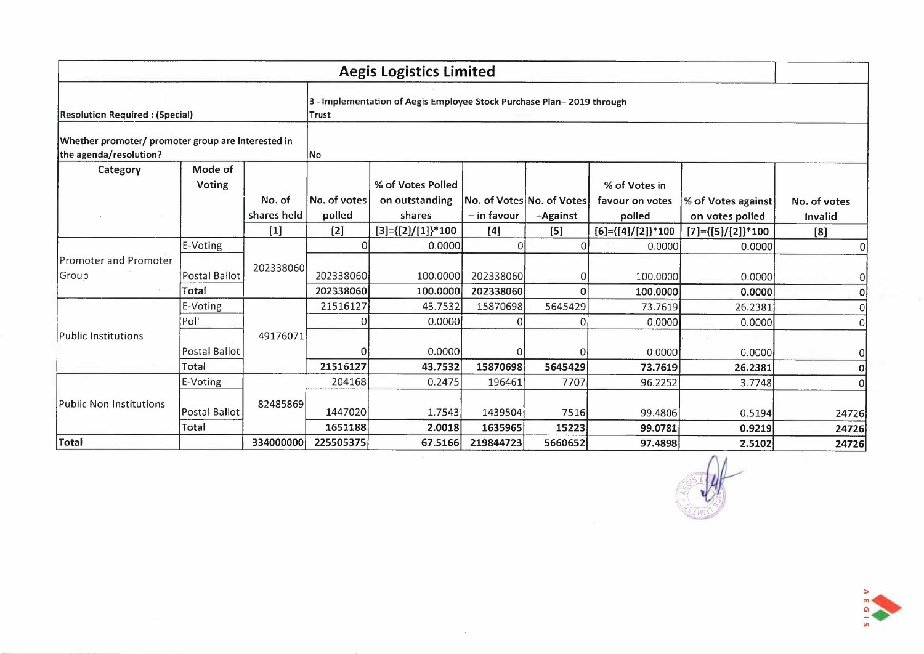|                                                                              |                          |                       |                        | <b>Aegis Logistics Limited</b>                                      |                                            |                 |                               |                    |                                                                                                                                                                                                                               |
|------------------------------------------------------------------------------|--------------------------|-----------------------|------------------------|---------------------------------------------------------------------|--------------------------------------------|-----------------|-------------------------------|--------------------|-------------------------------------------------------------------------------------------------------------------------------------------------------------------------------------------------------------------------------|
| <b>Resolution Required: (Special)</b>                                        |                          |                       | Trust                  | 3-Implementation of Aegis Employee Stock Purchase Plan-2019 through |                                            |                 |                               |                    |                                                                                                                                                                                                                               |
| Whether promoter/ promoter group are interested in<br>the agenda/resolution? |                          |                       | <b>No</b>              |                                                                     |                                            |                 |                               |                    |                                                                                                                                                                                                                               |
| Category                                                                     | Mode of<br><b>Voting</b> |                       |                        | % of Votes Polled                                                   |                                            |                 | % of Votes in                 |                    |                                                                                                                                                                                                                               |
|                                                                              |                          | No. of<br>shares held | No. of votes<br>polled | on outstanding<br>shares                                            | No. of Votes No. of Votes<br>$-$ in favour | -Against        | favour on votes<br>polled     | % of Votes against |                                                                                                                                                                                                                               |
|                                                                              |                          | $[1]$                 | $[2]$                  | $[3] = \{ [2] / [1] \}^* 100$                                       | $[4]$                                      | $[5]$           | $[6] = \{ [4] / [2] \} * 100$ |                    |                                                                                                                                                                                                                               |
|                                                                              | E-Voting                 |                       | 0                      | 0.0000                                                              |                                            | ΩI              | 0.0000                        | 0.0000             | 0                                                                                                                                                                                                                             |
| <b>Promoter and Promoter</b><br>Group                                        | <b>Postal Ballot</b>     | 202338060             | 202338060              | 100.0000                                                            | 202338060                                  | $\Omega$        | 100.0000                      | 0.0000             | 0                                                                                                                                                                                                                             |
|                                                                              | Total                    |                       | 202338060              | 100.0000                                                            | 202338060                                  | $\mathbf{0}$    | 100.0000                      | 0.0000             | No. of votes<br>on votes polled<br>Invalid<br>$[7] = \{ [5] / [2] \}^* 100$<br>[8]<br>0<br>26.2381<br>0<br>0.0000<br>0<br>0.0000<br>0<br>26.2381<br>0<br>3.7748<br>0<br>0.5194<br>24726<br>0.9219<br>24726<br>2.5102<br>24726 |
|                                                                              | E-Voting                 |                       | 21516127               | 43.7532                                                             | 15870698                                   | 5645429         | 73.7619                       |                    |                                                                                                                                                                                                                               |
| <b>Public Institutions</b>                                                   | Poll                     | 49176071              |                        | 0.0000                                                              | 0                                          | 0               | 0.0000                        |                    |                                                                                                                                                                                                                               |
|                                                                              | Postal Ballot<br>Total   |                       | 21516127               | 0.0000<br>43.7532                                                   | 0<br>15870698                              | 0               | 0.0000                        |                    |                                                                                                                                                                                                                               |
|                                                                              | E-Voting                 |                       | 204168                 | 0.2475                                                              | 196461                                     | 5645429<br>7707 | 73.7619<br>96.2252            |                    |                                                                                                                                                                                                                               |
|                                                                              |                          |                       |                        |                                                                     |                                            |                 |                               |                    |                                                                                                                                                                                                                               |
| <b>Public Non Institutions</b>                                               | Postal Ballot            | 82485869              | 1447020                | 1.7543                                                              | 1439504                                    | 7516            | 99.4806                       |                    |                                                                                                                                                                                                                               |
|                                                                              | Total                    |                       | 1651188                | 2.0018                                                              | 1635965                                    | 15223           | 99.0781                       |                    |                                                                                                                                                                                                                               |
| Total                                                                        |                          | 334000000             | 225505375              | 67.5166                                                             | 219844723                                  | 5660652         | 97.4898                       |                    |                                                                                                                                                                                                                               |

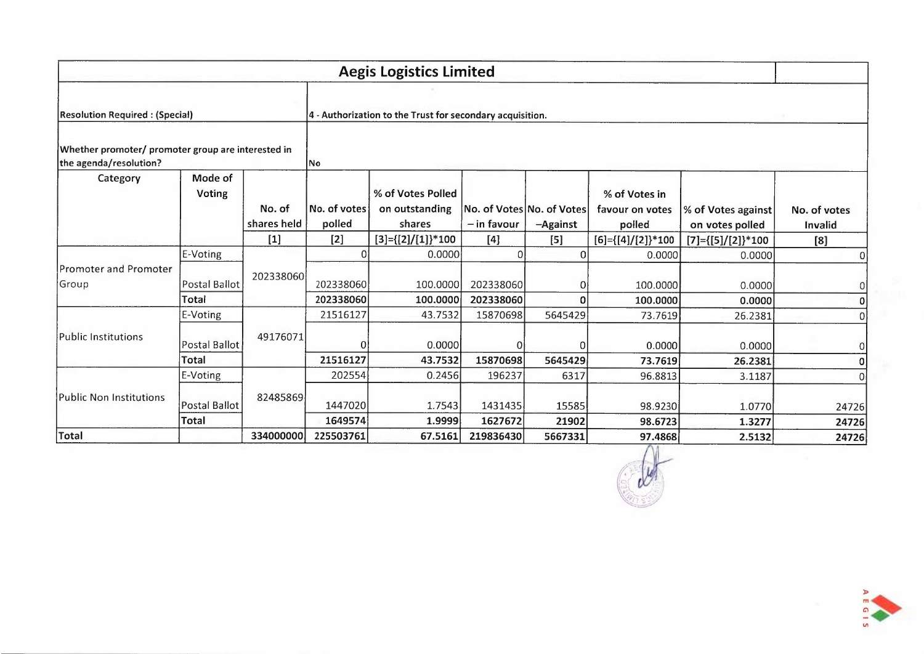|                                                    | <b>Aegis Logistics Limited</b>       |             |                      |                                                           |                    |                           |                                  |                               |                  |  |  |
|----------------------------------------------------|--------------------------------------|-------------|----------------------|-----------------------------------------------------------|--------------------|---------------------------|----------------------------------|-------------------------------|------------------|--|--|
|                                                    |                                      |             |                      |                                                           |                    |                           |                                  |                               |                  |  |  |
| <b>Resolution Required: (Special)</b>              |                                      |             |                      | 4 - Authorization to the Trust for secondary acquisition. |                    |                           |                                  |                               |                  |  |  |
| Whether promoter/ promoter group are interested in |                                      |             |                      |                                                           |                    |                           |                                  |                               |                  |  |  |
| the agenda/resolution?<br>Category                 | Mode of<br><b>Voting</b>             | No. of      | INo.<br>No. of votes | % of Votes Polled<br>on outstanding                       |                    | No. of Votes No. of Votes | % of Votes in<br>favour on votes | % of Votes against            | No. of votes     |  |  |
|                                                    |                                      | shares held | polled               | shares                                                    | $-$ in favour      | -Against                  | polled                           | on votes polled               | Invalid          |  |  |
|                                                    |                                      | $[1]$       | $[2]$                | $[3] = \{ [2] / [1] \}^* 100$                             | $[4]$              | [5]                       | $[6] = \{ [4] / [2] \}$ * 100    | $[7] = \{ [5] / [2] \} * 100$ | [8]              |  |  |
|                                                    | E-Voting                             |             | 0                    | 0.0000                                                    | 0                  | Οl                        | 0.0000                           | 0.0000                        | $\Omega$         |  |  |
| Group                                              | <b>Postal Ballot</b>                 | 202338060   | 202338060            | 100.0000                                                  | 202338060          | 01                        | 100.0000                         | 0.0000                        | 0                |  |  |
| Promoter and Promoter                              | Total                                |             | 202338060            | 100.0000                                                  | 202338060          | $\Omega$                  | 100,0000                         | 0.0000                        | 0                |  |  |
|                                                    | E-Voting                             |             | 21516127             | 43.7532                                                   | 15870698           | 5645429                   | 73.7619                          | 26.2381                       | 0                |  |  |
| <b>Public Institutions</b>                         | Postal Ballot                        | 49176071    | $\Omega$             | 0.0000                                                    | 0                  | $\Omega$                  | 0.0000                           | 0.0000                        | $\boldsymbol{0}$ |  |  |
|                                                    | <b>Total</b>                         |             | 21516127             | 43.7532                                                   | 15870698           | 5645429                   | 73.7619                          | 26.2381                       | 0                |  |  |
|                                                    | E-Voting                             |             | 202554               | 0.2456                                                    | 196237             | 6317                      | 96.8813                          | 3.1187                        | 0                |  |  |
| <b>Public Non Institutions</b>                     | <b>Postal Ballot</b><br><b>Total</b> | 82485869    | 1447020<br>1649574   | 1.7543<br>1.9999                                          | 1431435<br>1627672 | 15585<br>21902            | 98.9230<br>98.6723               | 1.0770<br>1.3277              | 24726<br>24726   |  |  |
| Total                                              |                                      | 334000000   | 225503761            | 67.5161                                                   | 219836430          | 5667331                   | 97.4868                          | 2.5132                        | 24726            |  |  |



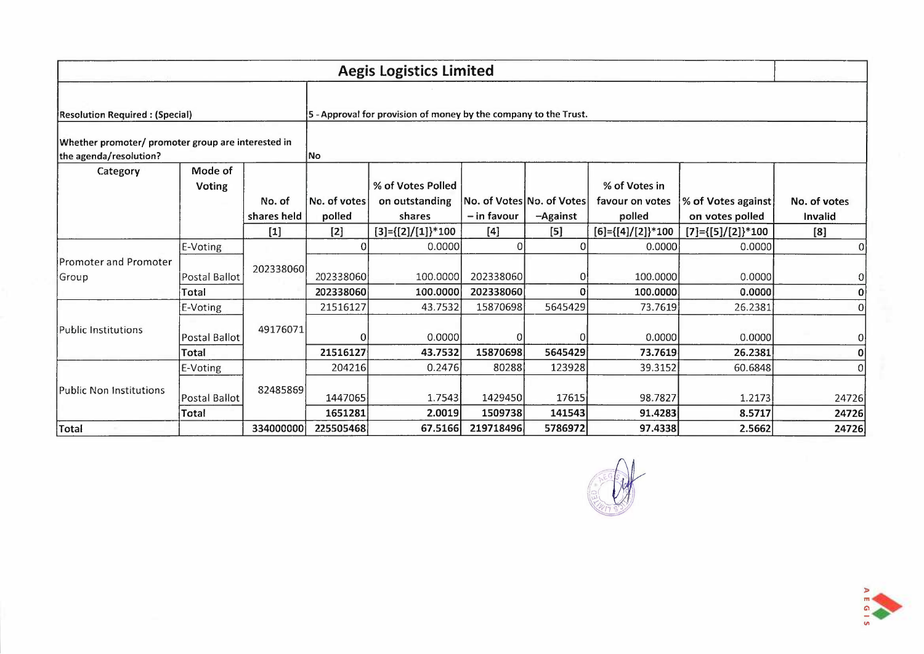|                                                                              | <b>Aegis Logistics Limited</b> |             |                    |                                                                  |                    |                           |                               |                               |                 |  |  |
|------------------------------------------------------------------------------|--------------------------------|-------------|--------------------|------------------------------------------------------------------|--------------------|---------------------------|-------------------------------|-------------------------------|-----------------|--|--|
|                                                                              |                                |             |                    |                                                                  |                    |                           |                               |                               |                 |  |  |
| <b>Resolution Required: (Special)</b>                                        |                                |             |                    | 5 - Approval for provision of money by the company to the Trust. |                    |                           |                               |                               |                 |  |  |
| Whether promoter/ promoter group are interested in<br>the agenda/resolution? |                                |             | <b>INo</b>         |                                                                  |                    |                           |                               |                               |                 |  |  |
| Category                                                                     | Mode of<br><b>Voting</b>       |             |                    | % of Votes Polled                                                |                    |                           | % of Votes in                 |                               |                 |  |  |
|                                                                              |                                | No. of      | No. of votes       | on outstanding                                                   |                    | No. of Votes No. of Votes | favour on votes               | % of Votes against            | No. of votes    |  |  |
|                                                                              |                                | shares held | polled             | shares                                                           | - in favour        | -Against                  | polled                        | on votes polled               | Invalid         |  |  |
|                                                                              |                                | $[1]$       | $[2]$              | $[3] = \{ [2] / [1] \}^* 100$                                    | [4]                | $[5]$                     | $[6] = \{ [4] / [2] \} * 100$ | $[7] = \{ [5] / [2] \} * 100$ | [8]             |  |  |
|                                                                              | E-Voting                       |             | $\Omega$           | 0.0000                                                           | 0                  |                           | 0.0000                        | 0.0000                        | $\vert 0 \vert$ |  |  |
|                                                                              | Postal Ballot                  | 202338060   | 202338060          | 100.0000                                                         | 202338060          |                           | 100.0000                      | 0.0000                        | 0               |  |  |
| Promoter and Promoter<br>Group<br>Public Institutions                        | Total                          |             | 202338060          | 100.0000                                                         | 202338060          | Ω                         | 100.0000                      | 0.0000                        | 0               |  |  |
|                                                                              | E-Voting                       |             | 21516127           | 43.7532                                                          | 15870698           | 5645429                   | 73.7619                       | 26.2381                       | 0               |  |  |
|                                                                              | <b>Postal Ballot</b>           | 49176071    | 0                  | 0.0000                                                           | $\Omega$           |                           | 0.0000                        | 0.0000                        | 0               |  |  |
|                                                                              | Total                          |             | 21516127           | 43.7532                                                          | 15870698           | 5645429                   | 73.7619                       | 26.2381                       | 0               |  |  |
|                                                                              | E-Voting                       |             | 204216             | 0.2476                                                           | 80288              | 123928                    | 39.3152                       | 60.6848                       | 0               |  |  |
| <b>Public Non Institutions</b>                                               | <b>Postal Ballot</b><br>Total  | 82485869    | 1447065<br>1651281 | 1.7543<br>2.0019                                                 | 1429450<br>1509738 | 17615<br>141543           | 98.7827<br>91.4283            | 1.2173<br>8.5717              | 24726<br>24726  |  |  |
| Total                                                                        |                                | 334000000   | 225505468          | 67.5166                                                          | 219718496          | 5786972                   | 97.4338                       | 2.5662                        | 24726           |  |  |



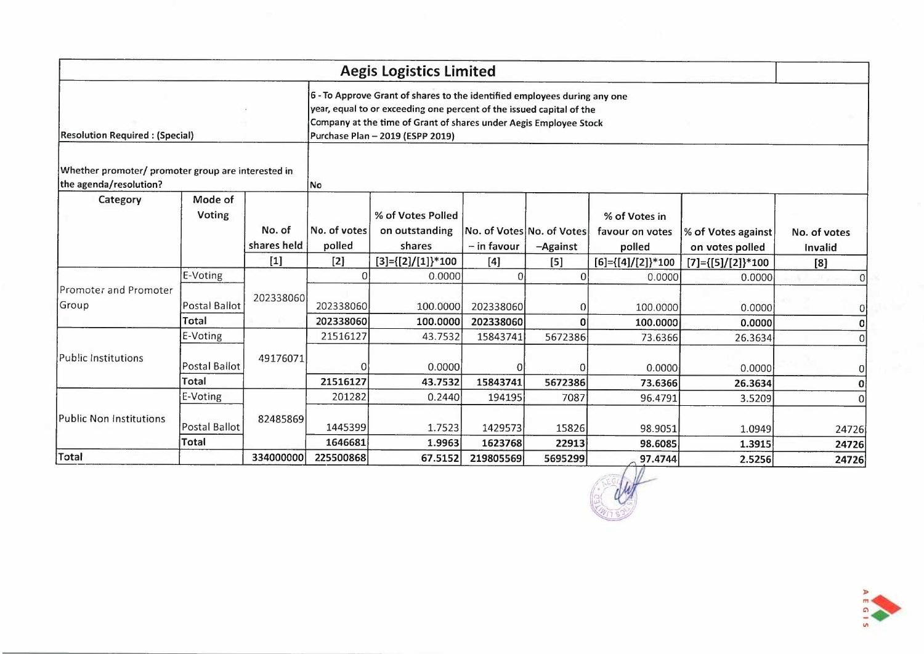|                                                                              |                                           |                       |                              | <b>Aegis Logistics Limited</b>                                                                                                                                                                                                                             |                             |                                       |                                            |                                       |                         |
|------------------------------------------------------------------------------|-------------------------------------------|-----------------------|------------------------------|------------------------------------------------------------------------------------------------------------------------------------------------------------------------------------------------------------------------------------------------------------|-----------------------------|---------------------------------------|--------------------------------------------|---------------------------------------|-------------------------|
| <b>Resolution Required: (Special)</b>                                        |                                           |                       |                              | 6 - To Approve Grant of shares to the identified employees during any one<br>year, equal to or exceeding one percent of the issued capital of the<br>Company at the time of Grant of shares under Aegis Employee Stock<br>Purchase Plan - 2019 (ESPP 2019) |                             |                                       |                                            |                                       |                         |
| Whether promoter/ promoter group are interested in<br>the agenda/resolution? |                                           |                       | No                           |                                                                                                                                                                                                                                                            |                             |                                       |                                            |                                       |                         |
| Category                                                                     | Mode of<br><b>Voting</b>                  | No. of<br>shares held | No. of votes<br>polled       | % of Votes Polled<br>on outstanding<br>shares                                                                                                                                                                                                              | - in favour                 | No. of Votes No. of Votes<br>-Against | % of Votes in<br>favour on votes<br>polled | % of Votes against<br>on votes polled | No. of votes<br>Invalid |
|                                                                              |                                           | $[1]$                 | $[2]$                        | [3]={[2]/[1]}*100                                                                                                                                                                                                                                          | [4]                         | $[5]$                                 | $[6] = \{ [4] / [2] \} * 100$              | $[7] = \{ [5] / [2] \} * 100$         | [8]                     |
| Promoter and Promoter<br>Group                                               | E-Voting<br><b>Postal Ballot</b><br>Total | 202338060             | ΩI<br>202338060<br>202338060 | 0.0000<br>100.0000<br>100.0000                                                                                                                                                                                                                             | 0<br>202338060<br>202338060 | $\Omega$<br>$\Omega$<br>$\Omega$      | 0.0000<br>100.0000<br>100.0000             | 0.0000<br>0.0000<br>0.0000            | 0<br>0<br>0             |
|                                                                              | E-Voting                                  |                       | 21516127                     | 43.7532                                                                                                                                                                                                                                                    | 15843741                    | 5672386                               | 73.6366                                    | 26.3634                               | 0                       |
| <b>Public Institutions</b>                                                   | <b>Postal Ballot</b><br>Total             | 49176071              | $\Omega$<br>21516127         | 0.0000<br>43.7532                                                                                                                                                                                                                                          | 15843741                    | 0<br>5672386                          | 0.0000<br>73.6366                          | 0.0000<br>26.3634                     | 0<br>0                  |
|                                                                              | E-Voting                                  |                       | 201282                       | 0.2440                                                                                                                                                                                                                                                     | 194195                      | 7087                                  | 96.4791                                    | 3.5209                                | Οl                      |
| <b>Public Non Institutions</b>                                               | <b>Postal Ballot</b><br><b>Total</b>      | 82485869              | 1445399<br>1646681           | 1.7523<br>1.9963                                                                                                                                                                                                                                           | 1429573<br>1623768          | 15826<br>22913                        | 98.9051<br>98.6085                         | 1.0949<br>1.3915                      | 24726<br>24726          |
| Total                                                                        |                                           | 334000000             | 225500868                    | 67.5152                                                                                                                                                                                                                                                    | 219805569                   | 5695299                               | 97.4744                                    | 2.5256                                | 24726                   |



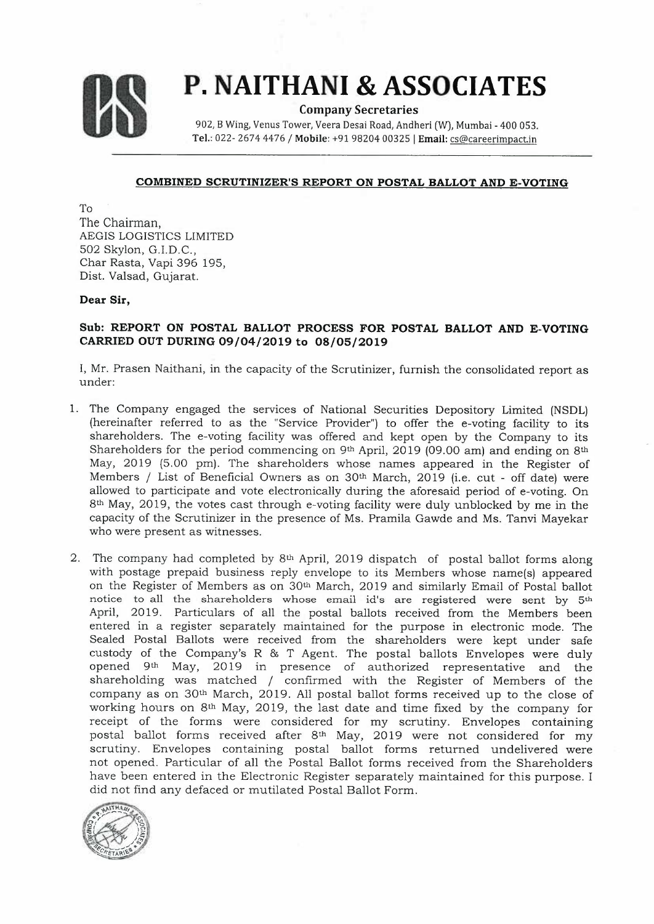

# **us P. NAITHANI & ASSOCIATES**

**Company Secretaries** 

902, B Wing, Venus Tower, Veera Desai Road, Andheri (W), Mumbai - 400 053. **Tel.:** 022- 2674 4476 / **Mobile:** +9198204 003251 **Email:** cs@careerimpact.in

#### **COMBINED SCRUTINIZER'S REPORT ON POSTAL BALLOT AND E-VOTING**

To The Chairman, AEGIS LOGISTICS LIMITED 502 Skylon, G.I.D.C., Char Rasta, Vapi 396 195, Dist. Valsad, Gujarat.

#### **Dear Sir,**

### **Sub: REPORT ON POSTAL BALLOT PROCESS FOR POSTAL BALLOT AND E-VOTING CARRIED OUT DURING 09/04/2019 to 08/05/2019**

I, Mr. Prasen Naithani, in the capacity of the Scrutinizer, furnish the consolidated report as under:

- 1. The Company engaged the services of National Securities Depository Limited (NSDL) (hereinafter referred to as the "Service Provider") to offer the e-voting facility to its shareholders. The e-voting facility was offered and kept open by the Company to its Shareholders for the period commencing on  $9<sup>th</sup>$  April, 2019 (09.00 am) and ending on  $8<sup>th</sup>$ May, 2019 (5.00 pm). The shareholders whose names appeared in the Register of Members / List of Beneficial Owners as on 30th March, 2019 (i.e. cut - off date) were allowed to participate and vote electronically during the aforesaid period of e-voting. On 8th May, 2019, the votes cast through e-voting facility were duly unblocked by me in the capacity of the Scrutinizer in the presence of Ms. Pramila Gawde and Ms. Tanvi Mayekar who were present as witnesses.
- 2. The company had completed by 8th April, 2019 dispatch of postal ballot forms along with postage prepaid business reply envelope to its Members whose name(s) appeared on the Register of Members as on 30<sup>th</sup> March, 2019 and similarly Email of Postal ballot notice to all the shareholders whose email id's are registered were sent by 5th April, 2019. Particulars of all the postal ballots received from the Members been entered in a register separately maintained for the purpose in electronic mode. The Sealed Postal Ballots were received from the shareholders were kept under safe custody of the Company's R & T Agent. The postal ballots Envelopes were duly opened 9th May, 2019 in presence of authorized representative and the shareholding was matched / confirmed with the Register of Members of the company as on 30th March, 2019. All postal ballot forms received up to the close of working hours on 8th May, 2019, the last date and time fixed by the company for receipt of the forms were considered for my scrutiny. Envelopes containing postal ballot forms received after 8th May, 2019 were not considered for my scrutiny. Envelopes containing postal ballot forms returned undelivered were not opened. Particular of all the Postal Ballot forms received from the Shareholders have been entered in the Electronic Register separately maintained for this purpose. I did not find any defaced or mutilated Postal Ballot Form.

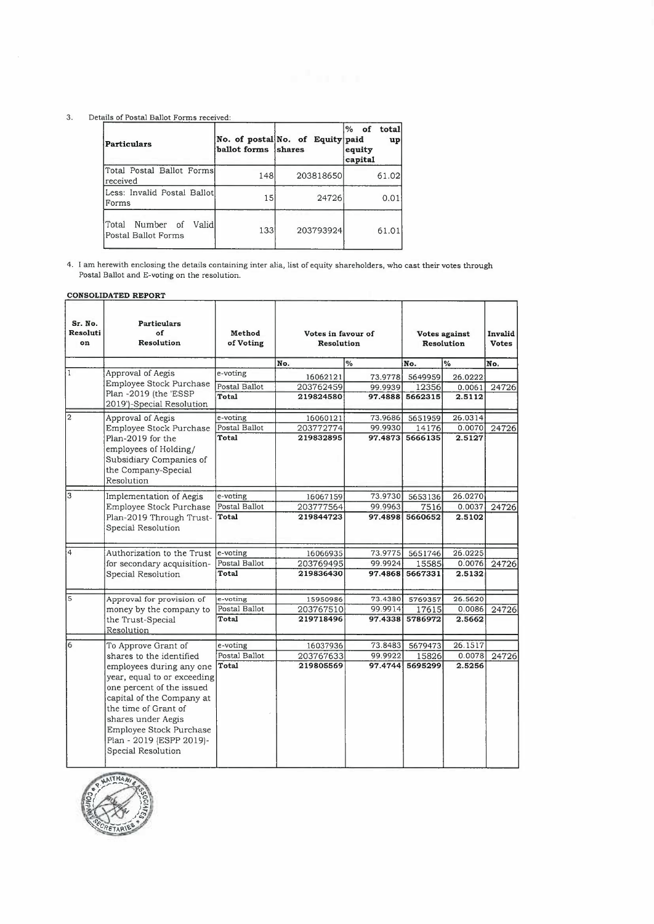#### 3. Details of Postal Ballot Forms received:

| Particulars                                          | ballot forms shares | No. of postal No. of Equity paid | $\%$ of<br>total<br>$\mathbf{u}$<br>equity<br>capital |
|------------------------------------------------------|---------------------|----------------------------------|-------------------------------------------------------|
| Total Postal Ballot Forms<br>Ireceived               | 148                 | 203818650                        | 61.02                                                 |
| Less: Invalid Postal Ballot<br>Forms                 | 15                  | 24726                            | 0.01                                                  |
| Number of<br>lTotal<br>Validl<br>Postal Ballot Forms | 133                 | 203793924                        | 61.01                                                 |

4. 1 am herewith enclosing the details containing inter alia, list of equity shareholders, who cast their votes through Postal Ballot and E-voting on the resolution.

#### **CONSOLIDATED REPORT**

| Sr. No.<br>Resoluti<br>on | <b>Particulars</b><br>of<br><b>Resolution</b>                                                                                                                                                                                                | Method<br>of Voting | Votes in favour of<br>Resolution |          | Votes against<br><b>Resolution</b> | Invalid<br><b>Votes</b> |       |
|---------------------------|----------------------------------------------------------------------------------------------------------------------------------------------------------------------------------------------------------------------------------------------|---------------------|----------------------------------|----------|------------------------------------|-------------------------|-------|
|                           |                                                                                                                                                                                                                                              |                     | No.                              | $\%$     | No.                                | $\frac{0}{2}$           | No.   |
| I1                        | Approval of Aegis                                                                                                                                                                                                                            | e-voting            | 16062121                         | 73.9778  | 5649959                            | 26.0222                 |       |
|                           | Employee Stock Purchase                                                                                                                                                                                                                      | Postal Ballot       | 203762459                        | 99.9939  | 12356                              | 0.0061                  | 24726 |
|                           | Plan -2019 (the 'ESSP<br>2019')-Special Resolution                                                                                                                                                                                           | Total               | 219824580                        | 97.4888  | 5662315                            | 2.5112                  |       |
| 2                         | Approval of Aegis                                                                                                                                                                                                                            | e-voting            | 16060121                         | 73.9686. | 5651959                            | 26.0314                 |       |
|                           | Employee Stock Purchase                                                                                                                                                                                                                      | Postal Ballot       | 203772774                        | 99.9930  | 14176                              | 0.0070                  | 24726 |
|                           | Plan-2019 for the<br>employees of Holding/<br>Subsidiary Companies of<br>the Company-Special<br>Resolution                                                                                                                                   | Total               | 219832895                        |          | 97.4873 5666135                    | 2.5127                  |       |
| 3                         | Implementation of Aegis                                                                                                                                                                                                                      | e-voting            | 16067159                         | 73.9730  | 5653136                            | 26.0270                 |       |
|                           | Employee Stock Purchase                                                                                                                                                                                                                      | Postal Ballot       | 203777564                        | 99.9963  | 7516                               | 0.0037                  | 24726 |
|                           | Plan-2019 Through Trust-<br>Special Resolution                                                                                                                                                                                               | Total               | 219844723                        | 97.4898  | 5660652                            | 2.5102                  |       |
| $\overline{4}$            | Authorization to the Trust                                                                                                                                                                                                                   | e-voting            | 16066935                         | 73.9775  | 5651746                            | 26.0225                 |       |
|                           | for secondary acquisition-                                                                                                                                                                                                                   | Postal Ballot       | 203769495                        | 99.9924  | 15585                              | 0.0076                  | 24726 |
|                           | Special Resolution                                                                                                                                                                                                                           | <b>Total</b>        | 219836430                        | 97.4868  | 5667331                            | 2.5132                  |       |
| 5                         | Approval for provision of                                                                                                                                                                                                                    | e-voting            | 15950986                         | 73.4380  | 5769357                            | 26.5620                 |       |
|                           | money by the company to                                                                                                                                                                                                                      | Postal Ballot       | 203767510                        | 99.9914  | 17615                              | 0.0086                  | 24726 |
|                           | the Trust-Special<br>Resolution                                                                                                                                                                                                              | Total               | 219718496                        | 97.4338  | 5786972                            | 2.5662                  |       |
| 6                         | To Approve Grant of                                                                                                                                                                                                                          | e-voting            | 16037936                         | 73.8483  | 5679473                            | 26.1517                 |       |
|                           | shares to the identified                                                                                                                                                                                                                     | Postal Ballot       | 203767633                        | 99.9922  | 15826                              | 0.0078                  | 24726 |
|                           | employees during any one<br>year, equal to or exceeding<br>one percent of the issued<br>capital of the Company at<br>the time of Grant of<br>shares under Aegis<br>Employee Stock Purchase<br>Plan - 2019 (ESPP 2019)-<br>Special Resolution | Total               | 219805569                        | 97.4744  | 5695299                            | 2.5256                  |       |